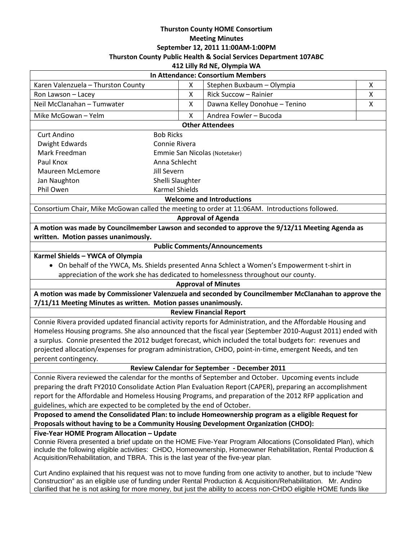### **Thurston County HOME Consortium Meeting Minutes September 12, 2011 11:00AM-1:00PM Thurston County Public Health & Social Services Department 107ABC 412 Lilly Rd NE, Olympia WA**

| 414 LIIIY NU IVL, VIYIIIPIA VVA                                                                                                                                                                                                                                                                                    |                               |                                                                                                                                                                                                                                   |   |
|--------------------------------------------------------------------------------------------------------------------------------------------------------------------------------------------------------------------------------------------------------------------------------------------------------------------|-------------------------------|-----------------------------------------------------------------------------------------------------------------------------------------------------------------------------------------------------------------------------------|---|
| In Attendance: Consortium Members                                                                                                                                                                                                                                                                                  |                               |                                                                                                                                                                                                                                   |   |
| Karen Valenzuela - Thurston County                                                                                                                                                                                                                                                                                 | X                             | Stephen Buxbaum - Olympia                                                                                                                                                                                                         | Χ |
| Ron Lawson - Lacey                                                                                                                                                                                                                                                                                                 | X                             | Rick Succow - Rainier                                                                                                                                                                                                             | X |
| Neil McClanahan - Tumwater                                                                                                                                                                                                                                                                                         | X                             | Dawna Kelley Donohue - Tenino                                                                                                                                                                                                     | X |
| Mike McGowan - Yelm                                                                                                                                                                                                                                                                                                | X                             | Andrea Fowler - Bucoda                                                                                                                                                                                                            |   |
| <b>Other Attendees</b>                                                                                                                                                                                                                                                                                             |                               |                                                                                                                                                                                                                                   |   |
| <b>Curt Andino</b>                                                                                                                                                                                                                                                                                                 | <b>Bob Ricks</b>              |                                                                                                                                                                                                                                   |   |
| <b>Dwight Edwards</b>                                                                                                                                                                                                                                                                                              | Connie Rivera                 |                                                                                                                                                                                                                                   |   |
| Mark Freedman                                                                                                                                                                                                                                                                                                      | Emmie San Nicolas (Notetaker) |                                                                                                                                                                                                                                   |   |
| Paul Knox                                                                                                                                                                                                                                                                                                          | Anna Schlecht                 |                                                                                                                                                                                                                                   |   |
| Maureen McLemore                                                                                                                                                                                                                                                                                                   | Jill Severn                   |                                                                                                                                                                                                                                   |   |
| Jan Naughton                                                                                                                                                                                                                                                                                                       | Shelli Slaughter              |                                                                                                                                                                                                                                   |   |
| <b>Karmel Shields</b><br>Phil Owen                                                                                                                                                                                                                                                                                 |                               |                                                                                                                                                                                                                                   |   |
| <b>Welcome and Introductions</b>                                                                                                                                                                                                                                                                                   |                               |                                                                                                                                                                                                                                   |   |
| Consortium Chair, Mike McGowan called the meeting to order at 11:06AM. Introductions followed.                                                                                                                                                                                                                     |                               |                                                                                                                                                                                                                                   |   |
| <b>Approval of Agenda</b>                                                                                                                                                                                                                                                                                          |                               |                                                                                                                                                                                                                                   |   |
| A motion was made by Councilmember Lawson and seconded to approve the 9/12/11 Meeting Agenda as                                                                                                                                                                                                                    |                               |                                                                                                                                                                                                                                   |   |
| written. Motion passes unanimously.                                                                                                                                                                                                                                                                                |                               |                                                                                                                                                                                                                                   |   |
| <b>Public Comments/Announcements</b>                                                                                                                                                                                                                                                                               |                               |                                                                                                                                                                                                                                   |   |
| Karmel Shields - YWCA of Olympia                                                                                                                                                                                                                                                                                   |                               |                                                                                                                                                                                                                                   |   |
| • On behalf of the YWCA, Ms. Shields presented Anna Schlect a Women's Empowerment t-shirt in                                                                                                                                                                                                                       |                               |                                                                                                                                                                                                                                   |   |
| appreciation of the work she has dedicated to homelessness throughout our county.                                                                                                                                                                                                                                  |                               |                                                                                                                                                                                                                                   |   |
| <b>Approval of Minutes</b>                                                                                                                                                                                                                                                                                         |                               |                                                                                                                                                                                                                                   |   |
| A motion was made by Commissioner Valenzuela and seconded by Councilmember McClanahan to approve the                                                                                                                                                                                                               |                               |                                                                                                                                                                                                                                   |   |
| 7/11/11 Meeting Minutes as written. Motion passes unanimously.<br><b>Review Financial Report</b>                                                                                                                                                                                                                   |                               |                                                                                                                                                                                                                                   |   |
| Connie Rivera provided updated financial activity reports for Administration, and the Affordable Housing and                                                                                                                                                                                                       |                               |                                                                                                                                                                                                                                   |   |
| Homeless Housing programs. She also announced that the fiscal year (September 2010-August 2011) ended with                                                                                                                                                                                                         |                               |                                                                                                                                                                                                                                   |   |
| a surplus. Connie presented the 2012 budget forecast, which included the total budgets for: revenues and                                                                                                                                                                                                           |                               |                                                                                                                                                                                                                                   |   |
| projected allocation/expenses for program administration, CHDO, point-in-time, emergent Needs, and ten                                                                                                                                                                                                             |                               |                                                                                                                                                                                                                                   |   |
| percent contingency.                                                                                                                                                                                                                                                                                               |                               |                                                                                                                                                                                                                                   |   |
| Review Calendar for September - December 2011                                                                                                                                                                                                                                                                      |                               |                                                                                                                                                                                                                                   |   |
| Connie Rivera reviewed the calendar for the months of September and October. Upcoming events include                                                                                                                                                                                                               |                               |                                                                                                                                                                                                                                   |   |
| preparing the draft FY2010 Consolidate Action Plan Evaluation Report (CAPER), preparing an accomplishment                                                                                                                                                                                                          |                               |                                                                                                                                                                                                                                   |   |
| report for the Affordable and Homeless Housing Programs, and preparation of the 2012 RFP application and                                                                                                                                                                                                           |                               |                                                                                                                                                                                                                                   |   |
| guidelines, which are expected to be completed by the end of October.                                                                                                                                                                                                                                              |                               |                                                                                                                                                                                                                                   |   |
| Proposed to amend the Consolidated Plan: to include Homeownership program as a eligible Request for                                                                                                                                                                                                                |                               |                                                                                                                                                                                                                                   |   |
| Proposals without having to be a Community Housing Development Organization (CHDO):                                                                                                                                                                                                                                |                               |                                                                                                                                                                                                                                   |   |
| Five-Year HOME Program Allocation - Update                                                                                                                                                                                                                                                                         |                               |                                                                                                                                                                                                                                   |   |
| Connie Rivera presented a brief update on the HOME Five-Year Program Allocations (Consolidated Plan), which<br>include the following eligible activities: CHDO, Homeownership, Homeowner Rehabilitation, Rental Production &<br>Acquisition/Rehabilitation, and TBRA. This is the last year of the five-year plan. |                               |                                                                                                                                                                                                                                   |   |
|                                                                                                                                                                                                                                                                                                                    |                               | Curt Andino explained that his request was not to move funding from one activity to another, but to include "New<br>estruction" as an eligible use of funding under Dental Dreduction 8, Acquisition (Debabilitation). Mr. Andina |   |

Construction" as an eligible use of funding under Rental Production & Acquisition/Rehabilitation. Mr. Andino clarified that he is not asking for more money, but just the ability to access non-CHDO eligible HOME funds like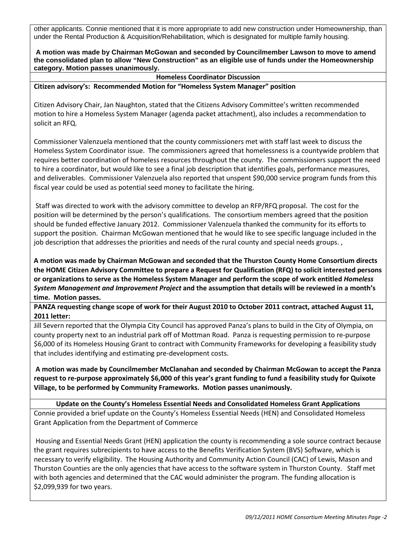other applicants. Connie mentioned that it is more appropriate to add new construction under Homeownership, than under the Rental Production & Acquisition/Rehabilitation, which is designated for multiple family housing.

**A motion was made by Chairman McGowan and seconded by Councilmember Lawson to move to amend the consolidated plan to allow "New Construction" as an eligible use of funds under the Homeownership category. Motion passes unanimously.**

**Homeless Coordinator Discussion**

### **Citizen advisory's: Recommended Motion for "Homeless System Manager" position**

Citizen Advisory Chair, Jan Naughton, stated that the Citizens Advisory Committee's written recommended motion to hire a Homeless System Manager (agenda packet attachment), also includes a recommendation to solicit an RFQ.

Commissioner Valenzuela mentioned that the county commissioners met with staff last week to discuss the Homeless System Coordinator issue. The commissioners agreed that homelessness is a countywide problem that requires better coordination of homeless resources throughout the county. The commissioners support the need to hire a coordinator, but would like to see a final job description that identifies goals, performance measures, and deliverables. Commissioner Valenzuela also reported that unspent \$90,000 service program funds from this fiscal year could be used as potential seed money to facilitate the hiring.

Staff was directed to work with the advisory committee to develop an RFP/RFQ proposal. The cost for the position will be determined by the person's qualifications. The consortium members agreed that the position should be funded effective January 2012. Commissioner Valenzuela thanked the community for its efforts to support the position. Chairman McGowan mentioned that he would like to see specific language included in the job description that addresses the priorities and needs of the rural county and special needs groups. ,

**A motion was made by Chairman McGowan and seconded that the Thurston County Home Consortium directs the HOME Citizen Advisory Committee to prepare a Request for Qualification (RFQ) to solicit interested persons or organizations to serve as the Homeless System Manager and perform the scope of work entitled** *Homeless System Management and Improvement Project* **and the assumption that details will be reviewed in a month's time. Motion passes.**

**PANZA requesting change scope of work for their August 2010 to October 2011 contract, attached August 11, 2011 letter:**

Jill Severn reported that the Olympia City Council has approved Panza's plans to build in the City of Olympia, on county property next to an industrial park off of Mottman Road. Panza is requesting permission to re-purpose \$6,000 of its Homeless Housing Grant to contract with Community Frameworks for developing a feasibility study that includes identifying and estimating pre-development costs.

**A motion was made by Councilmember McClanahan and seconded by Chairman McGowan to accept the Panza request to re-purpose approximately \$6,000 of this year's grant funding to fund a feasibility study for Quixote Village, to be performed by Community Frameworks. Motion passes unanimously.**

**Update on the County's Homeless Essential Needs and Consolidated Homeless Grant Applications** Connie provided a brief update on the County's Homeless Essential Needs (HEN) and Consolidated Homeless Grant Application from the Department of Commerce

Housing and Essential Needs Grant (HEN) application the county is recommending a sole source contract because the grant requires subrecipients to have access to the Benefits Verification System (BVS) Software, which is necessary to verify eligibility. The Housing Authority and Community Action Council (CAC) of Lewis, Mason and Thurston Counties are the only agencies that have access to the software system in Thurston County. Staff met with both agencies and determined that the CAC would administer the program. The funding allocation is \$2,099,939 for two years.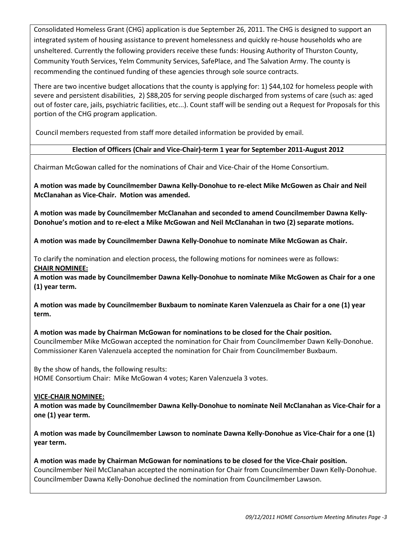Consolidated Homeless Grant (CHG) application is due September 26, 2011. The CHG is designed to support an integrated system of housing assistance to prevent homelessness and quickly re-house households who are unsheltered. Currently the following providers receive these funds: Housing Authority of Thurston County, Community Youth Services, Yelm Community Services, SafePlace, and The Salvation Army. The county is recommending the continued funding of these agencies through sole source contracts.

There are two incentive budget allocations that the county is applying for: 1) \$44,102 for homeless people with severe and persistent disabilities, 2) \$88,205 for serving people discharged from systems of care (such as: aged out of foster care, jails, psychiatric facilities, etc...). Count staff will be sending out a Request for Proposals for this portion of the CHG program application.

Council members requested from staff more detailed information be provided by email.

### **Election of Officers (Chair and Vice-Chair)-term 1 year for September 2011-August 2012**

Chairman McGowan called for the nominations of Chair and Vice-Chair of the Home Consortium.

**A motion was made by Councilmember Dawna Kelly-Donohue to re-elect Mike McGowen as Chair and Neil McClanahan as Vice-Chair. Motion was amended.**

**A motion was made by Councilmember McClanahan and seconded to amend Councilmember Dawna Kelly-Donohue's motion and to re-elect a Mike McGowan and Neil McClanahan in two (2) separate motions.** 

**A motion was made by Councilmember Dawna Kelly-Donohue to nominate Mike McGowan as Chair.** 

To clarify the nomination and election process, the following motions for nominees were as follows: **CHAIR NOMINEE:**

**A motion was made by Councilmember Dawna Kelly-Donohue to nominate Mike McGowen as Chair for a one (1) year term.** 

**A motion was made by Councilmember Buxbaum to nominate Karen Valenzuela as Chair for a one (1) year term.**

**A motion was made by Chairman McGowan for nominations to be closed for the Chair position.**  Councilmember Mike McGowan accepted the nomination for Chair from Councilmember Dawn Kelly-Donohue. Commissioner Karen Valenzuela accepted the nomination for Chair from Councilmember Buxbaum.

By the show of hands, the following results: HOME Consortium Chair: Mike McGowan 4 votes; Karen Valenzuela 3 votes.

### **VICE-CHAIR NOMINEE:**

**A motion was made by Councilmember Dawna Kelly-Donohue to nominate Neil McClanahan as Vice-Chair for a one (1) year term.** 

**A motion was made by Councilmember Lawson to nominate Dawna Kelly-Donohue as Vice-Chair for a one (1) year term.** 

**A motion was made by Chairman McGowan for nominations to be closed for the Vice-Chair position.**  Councilmember Neil McClanahan accepted the nomination for Chair from Councilmember Dawn Kelly-Donohue. Councilmember Dawna Kelly-Donohue declined the nomination from Councilmember Lawson.